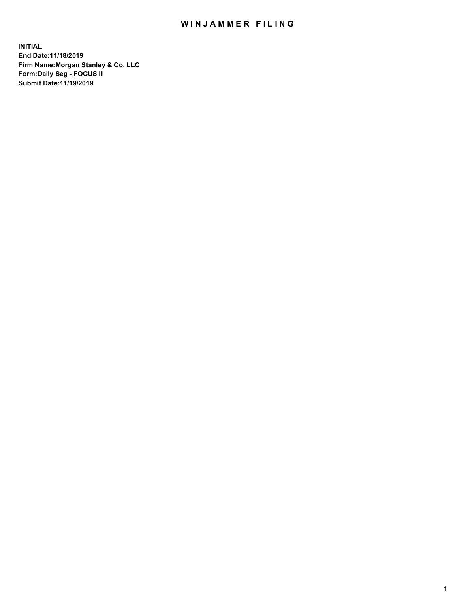## WIN JAMMER FILING

**INITIAL End Date:11/18/2019 Firm Name:Morgan Stanley & Co. LLC Form:Daily Seg - FOCUS II Submit Date:11/19/2019**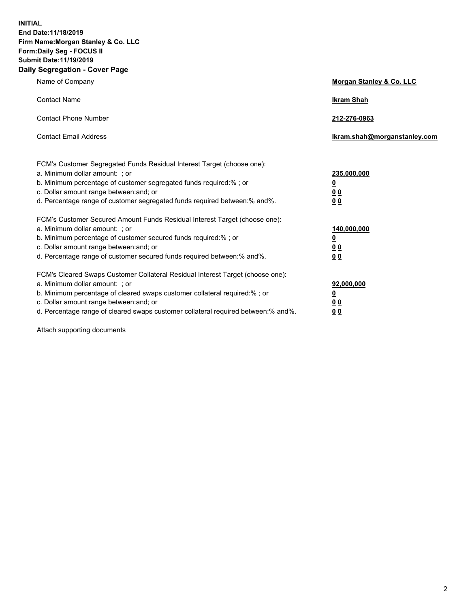**INITIAL End Date:11/18/2019 Firm Name:Morgan Stanley & Co. LLC Form:Daily Seg - FOCUS II Submit Date:11/19/2019 Daily Segregation - Cover Page**

| Name of Company                                                                                                                                                                                                                                                                                                                | Morgan Stanley & Co. LLC                               |
|--------------------------------------------------------------------------------------------------------------------------------------------------------------------------------------------------------------------------------------------------------------------------------------------------------------------------------|--------------------------------------------------------|
| <b>Contact Name</b>                                                                                                                                                                                                                                                                                                            | <b>Ikram Shah</b>                                      |
| <b>Contact Phone Number</b>                                                                                                                                                                                                                                                                                                    | 212-276-0963                                           |
| <b>Contact Email Address</b>                                                                                                                                                                                                                                                                                                   | lkram.shah@morganstanley.com                           |
| FCM's Customer Segregated Funds Residual Interest Target (choose one):<br>a. Minimum dollar amount: ; or<br>b. Minimum percentage of customer segregated funds required:% ; or<br>c. Dollar amount range between: and; or<br>d. Percentage range of customer segregated funds required between:% and%.                         | 235,000,000<br><u>0</u><br><u>00</u><br>0 <sub>0</sub> |
| FCM's Customer Secured Amount Funds Residual Interest Target (choose one):<br>a. Minimum dollar amount: ; or<br>b. Minimum percentage of customer secured funds required:% ; or<br>c. Dollar amount range between: and; or<br>d. Percentage range of customer secured funds required between:% and%.                           | 140,000,000<br><u>0</u><br>0 <sub>0</sub><br>00        |
| FCM's Cleared Swaps Customer Collateral Residual Interest Target (choose one):<br>a. Minimum dollar amount: ; or<br>b. Minimum percentage of cleared swaps customer collateral required:% ; or<br>c. Dollar amount range between: and; or<br>d. Percentage range of cleared swaps customer collateral required between:% and%. | 92,000,000<br><u>0</u><br><u>00</u><br>00              |

Attach supporting documents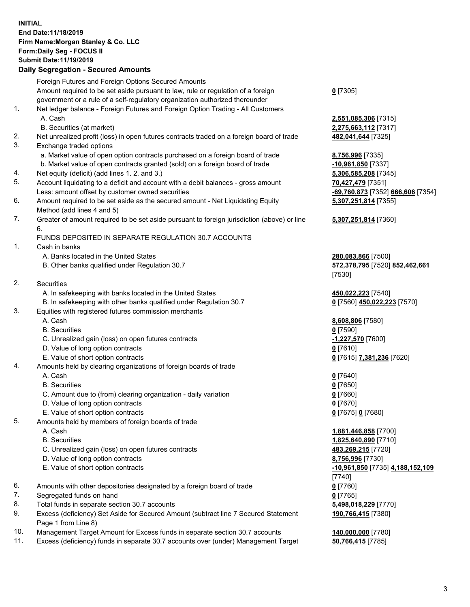## **INITIAL End Date:11/18/2019 Firm Name:Morgan Stanley & Co. LLC Form:Daily Seg - FOCUS II Submit Date:11/19/2019**

## **Daily Segregation - Secured Amounts**

|    | Foreign Futures and Foreign Options Secured Amounts                                         |                                    |
|----|---------------------------------------------------------------------------------------------|------------------------------------|
|    | Amount required to be set aside pursuant to law, rule or regulation of a foreign            | $0$ [7305]                         |
|    | government or a rule of a self-regulatory organization authorized thereunder                |                                    |
| 1. | Net ledger balance - Foreign Futures and Foreign Option Trading - All Customers             |                                    |
|    | A. Cash                                                                                     | 2,551,085,306 [7315]               |
|    | B. Securities (at market)                                                                   | 2,275,663,112 [7317]               |
| 2. | Net unrealized profit (loss) in open futures contracts traded on a foreign board of trade   | 482,041,644 [7325]                 |
| 3. | Exchange traded options                                                                     |                                    |
|    | a. Market value of open option contracts purchased on a foreign board of trade              | 8,756,996 [7335]                   |
|    | b. Market value of open contracts granted (sold) on a foreign board of trade                | -10,961,850 [7337]                 |
| 4. | Net equity (deficit) (add lines 1.2. and 3.)                                                | 5,306,585,208 [7345]               |
| 5. | Account liquidating to a deficit and account with a debit balances - gross amount           | 70,427,479 [7351]                  |
|    | Less: amount offset by customer owned securities                                            | 69,760,873 [7352]                  |
| 6. | Amount required to be set aside as the secured amount - Net Liquidating Equity              | 5,307,251,814 [7355]               |
|    | Method (add lines 4 and 5)                                                                  |                                    |
| 7. | Greater of amount required to be set aside pursuant to foreign jurisdiction (above) or line | 5,307,251,814 [7360]               |
|    | 6.                                                                                          |                                    |
|    | FUNDS DEPOSITED IN SEPARATE REGULATION 30.7 ACCOUNTS                                        |                                    |
| 1. | Cash in banks                                                                               |                                    |
|    | A. Banks located in the United States                                                       | 280,083,866 [7500]                 |
|    | B. Other banks qualified under Regulation 30.7                                              | 572,378,795 [7520] 8               |
|    |                                                                                             | [7530]                             |
| 2. | Securities                                                                                  |                                    |
|    | A. In safekeeping with banks located in the United States                                   | 450,022,223 [7540]                 |
|    | B. In safekeeping with other banks qualified under Regulation 30.7                          | 0 [7560] 450,022,223               |
| 3. | Equities with registered futures commission merchants                                       |                                    |
|    | A. Cash                                                                                     | 8,608,806 [7580]                   |
|    | <b>B.</b> Securities                                                                        | $0$ [7590]                         |
|    | C. Unrealized gain (loss) on open futures contracts                                         | -1,227,570 [7600]                  |
|    | D. Value of long option contracts                                                           | $0$ [7610]                         |
|    | E. Value of short option contracts                                                          | 0 [7615] 7,381,236 [7              |
| 4. | Amounts held by clearing organizations of foreign boards of trade                           |                                    |
|    | A. Cash                                                                                     | $0$ [7640]                         |
|    | <b>B.</b> Securities                                                                        | $0$ [7650]                         |
|    | C. Amount due to (from) clearing organization - daily variation                             | $0$ [7660]                         |
|    | D. Value of long option contracts                                                           | $0$ [7670]                         |
|    | E. Value of short option contracts                                                          | 0 [7675] 0 [7680]                  |
| 5. | Amounts held by members of foreign boards of trade                                          |                                    |
|    | A. Cash                                                                                     | 1,881,446,858 [7700]               |
|    | <b>B.</b> Securities                                                                        | 1,825,640,890 [7710]               |
|    | C. Unrealized gain (loss) on open futures contracts                                         | 483,269,215 [7720]                 |
|    | D. Value of long option contracts                                                           | 8,756,996 [7730]                   |
|    | E. Value of short option contracts                                                          | <mark>-10,961,850</mark> [7735] 4. |
|    |                                                                                             | [7740]                             |
| 6. | Amounts with other depositories designated by a foreign board of trade                      | $0$ [7760]                         |
| 7. | Segregated funds on hand                                                                    | $0$ [7765]                         |
| 8. | Total funds in separate section 30.7 accounts                                               | 5,498,018,229 [7770]               |
| 9. | Excess (deficiency) Set Aside for Secured Amount (subtract line 7 Secured Statement         | 190,766,415 [7380]                 |
|    | Page 1 from Line 8)                                                                         |                                    |

- 10. Management Target Amount for Excess funds in separate section 30.7 accounts **140,000,000** [7780]
- 11. Excess (deficiency) funds in separate 30.7 accounts over (under) Management Target **50,766,415** [7785]

**5,306** [7315] **3,112** [7317]

Less: amount offset by customer owned securities **-69,760,873** [7352] **666,606** [7354] **5,307,251,814** [7355]

## **5,307,251,814** [7360]

B. Other banks qualified under Regulation 30.7 **572,378,795** [7520] **852,462,661**

 $\underline{450,022,223}$  [7570]

E. Value of short option contracts **0** [7615] **7,381,236** [7620]

 A. Cash **1,881,446,858** [7700] **0,890** [7710] E. Value of short option contracts **-10,961,850** [7735] **4,188,152,109 190,766,415** [7380]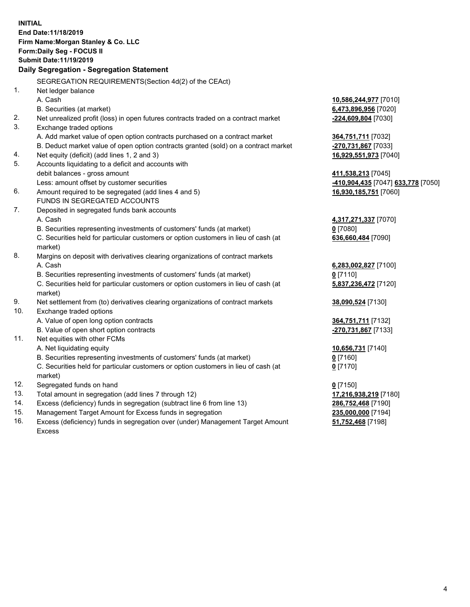|     | <b>INITIAL</b><br>End Date: 11/18/2019                                                         |                                    |
|-----|------------------------------------------------------------------------------------------------|------------------------------------|
|     | Firm Name: Morgan Stanley & Co. LLC                                                            |                                    |
|     | Form: Daily Seg - FOCUS II                                                                     |                                    |
|     | Submit Date: 11/19/2019                                                                        |                                    |
|     | Daily Segregation - Segregation Statement                                                      |                                    |
|     | SEGREGATION REQUIREMENTS(Section 4d(2) of the CEAct)                                           |                                    |
| 1.  | Net ledger balance                                                                             |                                    |
|     | A. Cash                                                                                        | 10,586,244,977 [7010]              |
|     | B. Securities (at market)                                                                      | 6,473,896,956 [7020]               |
| 2.  | Net unrealized profit (loss) in open futures contracts traded on a contract market             | -224,609,804 [7030]                |
| 3.  | Exchange traded options                                                                        |                                    |
|     | A. Add market value of open option contracts purchased on a contract market                    | 364,751,711 [7032]                 |
|     | B. Deduct market value of open option contracts granted (sold) on a contract market            | -270,731,867 [7033]                |
| 4.  | Net equity (deficit) (add lines 1, 2 and 3)                                                    | 16,929,551,973 [7040]              |
| 5.  | Accounts liquidating to a deficit and accounts with                                            |                                    |
|     | debit balances - gross amount                                                                  | 411,538,213 [7045]                 |
|     | Less: amount offset by customer securities                                                     | -410,904,435 [7047] 633,778 [7050] |
| 6.  | Amount required to be segregated (add lines 4 and 5)                                           | 16,930,185,751 [7060]              |
|     | FUNDS IN SEGREGATED ACCOUNTS                                                                   |                                    |
| 7.  | Deposited in segregated funds bank accounts                                                    |                                    |
|     | A. Cash                                                                                        | 4,317,271,337 [7070]               |
|     | B. Securities representing investments of customers' funds (at market)                         | $0$ [7080]                         |
|     | C. Securities held for particular customers or option customers in lieu of cash (at<br>market) | 636,660,484 [7090]                 |
| 8.  | Margins on deposit with derivatives clearing organizations of contract markets                 |                                    |
|     | A. Cash                                                                                        | 6,283,002,827 [7100]               |
|     | B. Securities representing investments of customers' funds (at market)                         | $0$ [7110]                         |
|     | C. Securities held for particular customers or option customers in lieu of cash (at<br>market) | 5,837,236,472 [7120]               |
| 9.  | Net settlement from (to) derivatives clearing organizations of contract markets                | 38,090,524 [7130]                  |
| 10. | Exchange traded options                                                                        |                                    |
|     | A. Value of open long option contracts                                                         | 364,751,711 [7132]                 |
|     | B. Value of open short option contracts                                                        | -270,731,867 [7133]                |
| 11. | Net equities with other FCMs                                                                   |                                    |
|     | A. Net liquidating equity                                                                      | 10,656,731 [7140]                  |
|     | B. Securities representing investments of customers' funds (at market)                         | $0$ [7160]                         |
|     | C. Securities held for particular customers or option customers in lieu of cash (at<br>market) | $0$ [7170]                         |
| 12. | Segregated funds on hand                                                                       | $0$ [7150]                         |
| 13. | Total amount in segregation (add lines 7 through 12)                                           | 17,216,938,219 [7180]              |
| 14. | Excess (deficiency) funds in segregation (subtract line 6 from line 13)                        | 286,752,468 [7190]                 |
| 15. | Management Target Amount for Excess funds in segregation                                       | 235,000,000 [7194]                 |
|     |                                                                                                |                                    |

16. Excess (deficiency) funds in segregation over (under) Management Target Amount Excess

**51,752,468** [7198]